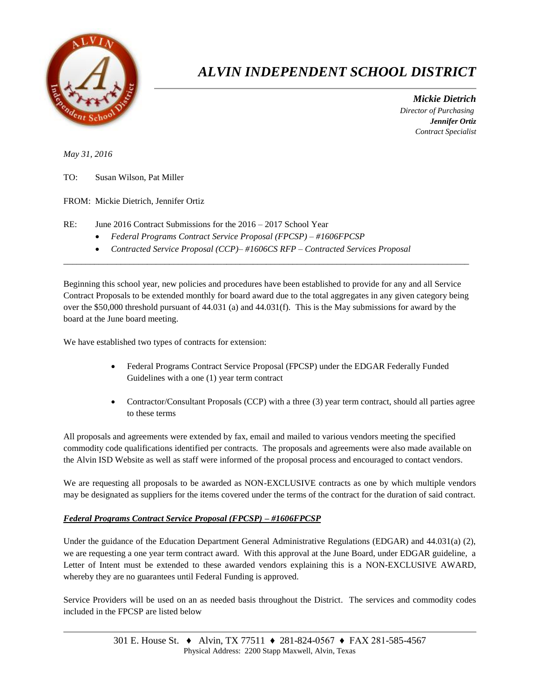

## *ALVIN INDEPENDENT SCHOOL DISTRICT*

 *Mickie Dietrich Director of Purchasing Jennifer Ortiz Contract Specialist*

*May 31, 2016*

TO: Susan Wilson, Pat Miller

FROM: Mickie Dietrich, Jennifer Ortiz

- RE: June 2016 Contract Submissions for the 2016 2017 School Year
	- *Federal Programs Contract Service Proposal (FPCSP) – #1606FPCSP*
	- *Contracted Service Proposal (CCP)– #1606CS RFP – Contracted Services Proposal*

Beginning this school year, new policies and procedures have been established to provide for any and all Service Contract Proposals to be extended monthly for board award due to the total aggregates in any given category being over the \$50,000 threshold pursuant of 44.031 (a) and 44.031(f). This is the May submissions for award by the board at the June board meeting.

 $\overline{a}$  , and the contribution of the contribution of the contribution of the contribution of the contribution of the contribution of the contribution of the contribution of the contribution of the contribution of the co

We have established two types of contracts for extension:

- Federal Programs Contract Service Proposal (FPCSP) under the EDGAR Federally Funded Guidelines with a one (1) year term contract
- Contractor/Consultant Proposals (CCP) with a three (3) year term contract, should all parties agree to these terms

All proposals and agreements were extended by fax, email and mailed to various vendors meeting the specified commodity code qualifications identified per contracts. The proposals and agreements were also made available on the Alvin ISD Website as well as staff were informed of the proposal process and encouraged to contact vendors.

We are requesting all proposals to be awarded as NON-EXCLUSIVE contracts as one by which multiple vendors may be designated as suppliers for the items covered under the terms of the contract for the duration of said contract.

## *Federal Programs Contract Service Proposal (FPCSP) – #1606FPCSP*

Under the guidance of the Education Department General Administrative Regulations (EDGAR) and 44.031(a) (2), we are requesting a one year term contract award. With this approval at the June Board, under EDGAR guideline, a Letter of Intent must be extended to these awarded vendors explaining this is a NON-EXCLUSIVE AWARD, whereby they are no guarantees until Federal Funding is approved.

Service Providers will be used on an as needed basis throughout the District. The services and commodity codes included in the FPCSP are listed below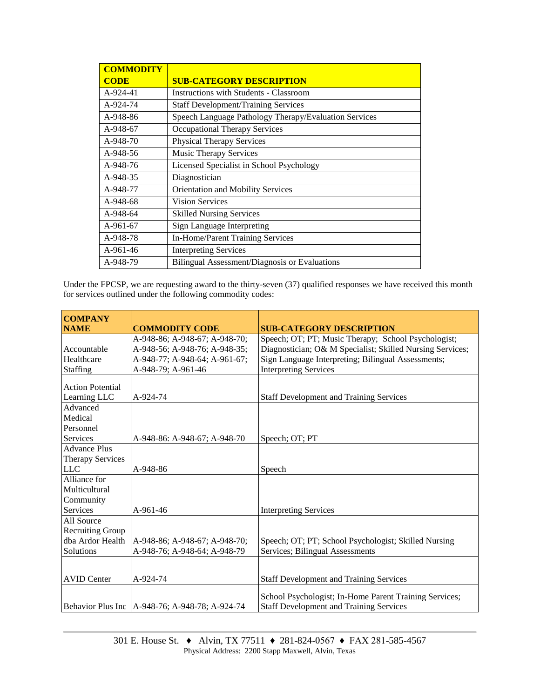| <b>COMMODITY</b> |                                                       |  |  |
|------------------|-------------------------------------------------------|--|--|
| <b>CODE</b>      | <b>SUB-CATEGORY DESCRIPTION</b>                       |  |  |
| A-924-41         | <b>Instructions with Students - Classroom</b>         |  |  |
| A-924-74         | <b>Staff Development/Training Services</b>            |  |  |
| A-948-86         | Speech Language Pathology Therapy/Evaluation Services |  |  |
| A-948-67         | Occupational Therapy Services                         |  |  |
| A-948-70         | <b>Physical Therapy Services</b>                      |  |  |
| A-948-56         | <b>Music Therapy Services</b>                         |  |  |
| A-948-76         | Licensed Specialist in School Psychology              |  |  |
| A-948-35         | Diagnostician                                         |  |  |
| A-948-77         | Orientation and Mobility Services                     |  |  |
| A-948-68         | <b>Vision Services</b>                                |  |  |
| A-948-64         | <b>Skilled Nursing Services</b>                       |  |  |
| $A-961-67$       | Sign Language Interpreting                            |  |  |
| A-948-78         | In-Home/Parent Training Services                      |  |  |
| $A-961-46$       | <b>Interpreting Services</b>                          |  |  |
| A-948-79         | Bilingual Assessment/Diagnosis or Evaluations         |  |  |

Under the FPCSP, we are requesting award to the thirty-seven (37) qualified responses we have received this month for services outlined under the following commodity codes:

| <b>COMPANY</b>          |                                                  |                                                           |  |
|-------------------------|--------------------------------------------------|-----------------------------------------------------------|--|
| <b>NAME</b>             | <b>COMMODITY CODE</b>                            | <b>SUB-CATEGORY DESCRIPTION</b>                           |  |
|                         | A-948-86; A-948-67; A-948-70;                    | Speech; OT; PT; Music Therapy; School Psychologist;       |  |
| Accountable             | A-948-56; A-948-76; A-948-35;                    | Diagnostician; O& M Specialist; Skilled Nursing Services; |  |
| Healthcare              | A-948-77; A-948-64; A-961-67;                    | Sign Language Interpreting; Bilingual Assessments;        |  |
| <b>Staffing</b>         | A-948-79; A-961-46                               | <b>Interpreting Services</b>                              |  |
| <b>Action Potential</b> |                                                  |                                                           |  |
| Learning LLC            | A-924-74                                         | <b>Staff Development and Training Services</b>            |  |
| Advanced                |                                                  |                                                           |  |
| Medical                 |                                                  |                                                           |  |
| Personnel               |                                                  |                                                           |  |
| Services                | A-948-86: A-948-67; A-948-70                     | Speech; OT; PT                                            |  |
| <b>Advance Plus</b>     |                                                  |                                                           |  |
| <b>Therapy Services</b> |                                                  |                                                           |  |
| <b>LLC</b>              | A-948-86                                         | Speech                                                    |  |
| Alliance for            |                                                  |                                                           |  |
| Multicultural           |                                                  |                                                           |  |
| Community               |                                                  |                                                           |  |
| Services                | A-961-46                                         | <b>Interpreting Services</b>                              |  |
| All Source              |                                                  |                                                           |  |
| Recruiting Group        |                                                  |                                                           |  |
| dba Ardor Health        | A-948-86; A-948-67; A-948-70;                    | Speech; OT; PT; School Psychologist; Skilled Nursing      |  |
| Solutions               | A-948-76; A-948-64; A-948-79                     | Services; Bilingual Assessments                           |  |
|                         |                                                  |                                                           |  |
| <b>AVID Center</b>      | A-924-74                                         | <b>Staff Development and Training Services</b>            |  |
|                         |                                                  | School Psychologist; In-Home Parent Training Services;    |  |
|                         | Behavior Plus Inc   A-948-76; A-948-78; A-924-74 | <b>Staff Development and Training Services</b>            |  |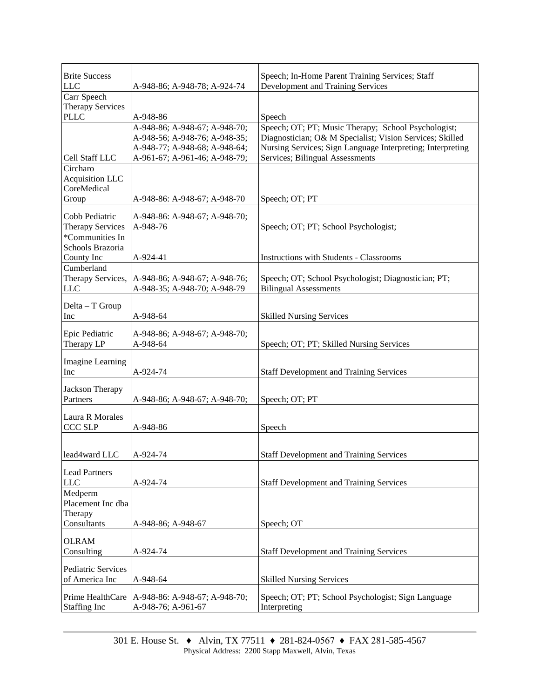| <b>Brite Success</b><br><b>LLC</b> | A-948-86; A-948-78; A-924-74                                  | Speech; In-Home Parent Training Services; Staff<br>Development and Training Services |  |
|------------------------------------|---------------------------------------------------------------|--------------------------------------------------------------------------------------|--|
| Carr Speech                        |                                                               |                                                                                      |  |
| <b>Therapy Services</b>            |                                                               |                                                                                      |  |
| <b>PLLC</b>                        | A-948-86<br>A-948-86; A-948-67; A-948-70;                     | Speech<br>Speech; OT; PT; Music Therapy; School Psychologist;                        |  |
|                                    | A-948-56; A-948-76; A-948-35;                                 | Diagnostician; O& M Specialist; Vision Services; Skilled                             |  |
|                                    | A-948-77; A-948-68; A-948-64;                                 | Nursing Services; Sign Language Interpreting; Interpreting                           |  |
| Cell Staff LLC                     | A-961-67; A-961-46; A-948-79;                                 | Services; Bilingual Assessments                                                      |  |
| Circharo                           |                                                               |                                                                                      |  |
| Acquisition LLC                    |                                                               |                                                                                      |  |
| CoreMedical                        |                                                               |                                                                                      |  |
| Group                              | A-948-86: A-948-67; A-948-70                                  | Speech; OT; PT                                                                       |  |
| Cobb Pediatric                     | A-948-86: A-948-67; A-948-70;                                 |                                                                                      |  |
| <b>Therapy Services</b>            | A-948-76                                                      | Speech; OT; PT; School Psychologist;                                                 |  |
| *Communities In                    |                                                               |                                                                                      |  |
| Schools Brazoria                   |                                                               |                                                                                      |  |
| County Inc                         | A-924-41                                                      | <b>Instructions with Students - Classrooms</b>                                       |  |
| Cumberland                         |                                                               |                                                                                      |  |
| Therapy Services,<br><b>LLC</b>    | A-948-86; A-948-67; A-948-76;<br>A-948-35; A-948-70; A-948-79 | Speech; OT; School Psychologist; Diagnostician; PT;<br><b>Bilingual Assessments</b>  |  |
|                                    |                                                               |                                                                                      |  |
| Delta - T Group                    |                                                               |                                                                                      |  |
| Inc                                | A-948-64                                                      | <b>Skilled Nursing Services</b>                                                      |  |
| Epic Pediatric                     | A-948-86; A-948-67; A-948-70;                                 |                                                                                      |  |
| Therapy LP                         | A-948-64                                                      | Speech; OT; PT; Skilled Nursing Services                                             |  |
|                                    |                                                               |                                                                                      |  |
| <b>Imagine Learning</b>            |                                                               |                                                                                      |  |
| Inc                                | A-924-74                                                      | <b>Staff Development and Training Services</b>                                       |  |
| Jackson Therapy                    |                                                               |                                                                                      |  |
| Partners                           | A-948-86; A-948-67; A-948-70;                                 | Speech; OT; PT                                                                       |  |
|                                    |                                                               |                                                                                      |  |
| Laura R Morales<br><b>CCC SLP</b>  | A-948-86                                                      | Speech                                                                               |  |
|                                    |                                                               |                                                                                      |  |
|                                    |                                                               |                                                                                      |  |
| lead4ward LLC                      | A-924-74                                                      | <b>Staff Development and Training Services</b>                                       |  |
| <b>Lead Partners</b>               |                                                               |                                                                                      |  |
| <b>LLC</b>                         | A-924-74                                                      | <b>Staff Development and Training Services</b>                                       |  |
| Medperm                            |                                                               |                                                                                      |  |
| Placement Inc dba                  |                                                               |                                                                                      |  |
| Therapy                            |                                                               |                                                                                      |  |
| Consultants                        | A-948-86; A-948-67                                            | Speech; OT                                                                           |  |
| <b>OLRAM</b>                       |                                                               |                                                                                      |  |
| Consulting                         | A-924-74                                                      | <b>Staff Development and Training Services</b>                                       |  |
|                                    |                                                               |                                                                                      |  |
| <b>Pediatric Services</b>          |                                                               |                                                                                      |  |
| of America Inc                     | A-948-64                                                      | <b>Skilled Nursing Services</b>                                                      |  |
| Prime HealthCare                   | A-948-86: A-948-67; A-948-70;                                 | Speech; OT; PT; School Psychologist; Sign Language                                   |  |
| Staffing Inc                       | A-948-76; A-961-67                                            | Interpreting                                                                         |  |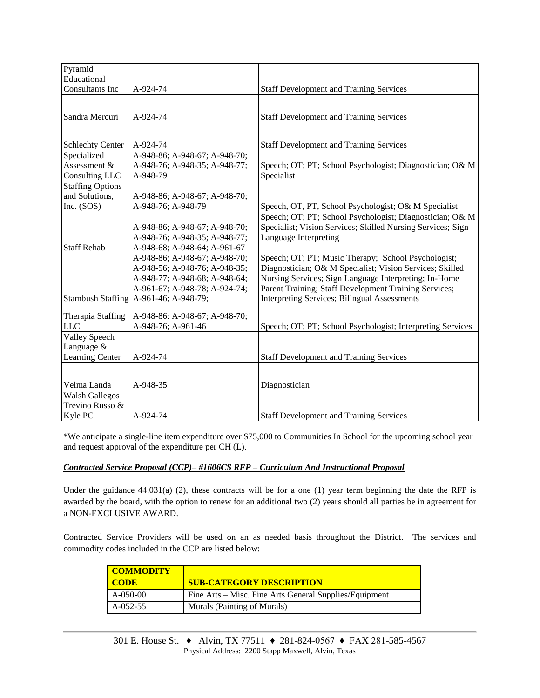| Pyramid                 |                                       |                                                             |  |
|-------------------------|---------------------------------------|-------------------------------------------------------------|--|
| Educational             |                                       |                                                             |  |
| Consultants Inc         | A-924-74                              | <b>Staff Development and Training Services</b>              |  |
|                         |                                       |                                                             |  |
|                         |                                       |                                                             |  |
| Sandra Mercuri          | A-924-74                              | <b>Staff Development and Training Services</b>              |  |
|                         |                                       |                                                             |  |
| <b>Schlechty Center</b> | A-924-74                              | <b>Staff Development and Training Services</b>              |  |
| Specialized             | A-948-86; A-948-67; A-948-70;         |                                                             |  |
| Assessment &            | A-948-76; A-948-35; A-948-77;         | Speech; OT; PT; School Psychologist; Diagnostician; O& M    |  |
| Consulting LLC          | A-948-79                              | Specialist                                                  |  |
| <b>Staffing Options</b> |                                       |                                                             |  |
| and Solutions,          | A-948-86; A-948-67; A-948-70;         |                                                             |  |
| Inc. (SOS)              | A-948-76; A-948-79                    | Speech, OT, PT, School Psychologist; O& M Specialist        |  |
|                         |                                       | Speech; OT; PT; School Psychologist; Diagnostician; O& M    |  |
|                         | A-948-86; A-948-67; A-948-70;         | Specialist; Vision Services; Skilled Nursing Services; Sign |  |
|                         | A-948-76; A-948-35; A-948-77;         | Language Interpreting                                       |  |
| <b>Staff Rehab</b>      | A-948-68; A-948-64; A-961-67          |                                                             |  |
|                         | A-948-86; A-948-67; A-948-70;         | Speech; OT; PT; Music Therapy; School Psychologist;         |  |
|                         | A-948-56; A-948-76; A-948-35;         | Diagnostician; O& M Specialist; Vision Services; Skilled    |  |
|                         | A-948-77; A-948-68; A-948-64;         | Nursing Services; Sign Language Interpreting; In-Home       |  |
|                         | A-961-67; A-948-78; A-924-74;         | Parent Training; Staff Development Training Services;       |  |
|                         | Stambush Staffing A-961-46; A-948-79; | <b>Interpreting Services; Bilingual Assessments</b>         |  |
|                         |                                       |                                                             |  |
| Therapia Staffing       | A-948-86: A-948-67; A-948-70;         |                                                             |  |
| <b>LLC</b>              | A-948-76; A-961-46                    | Speech; OT; PT; School Psychologist; Interpreting Services  |  |
| Valley Speech           |                                       |                                                             |  |
| Language &              |                                       |                                                             |  |
| Learning Center         | A-924-74                              | <b>Staff Development and Training Services</b>              |  |
|                         |                                       |                                                             |  |
| Velma Landa             | A-948-35                              | Diagnostician                                               |  |
| <b>Walsh Gallegos</b>   |                                       |                                                             |  |
| Trevino Russo &         |                                       |                                                             |  |
| Kyle PC                 | A-924-74                              | <b>Staff Development and Training Services</b>              |  |

\*We anticipate a single-line item expenditure over \$75,000 to Communities In School for the upcoming school year and request approval of the expenditure per CH (L).

## *Contracted Service Proposal (CCP)– #1606CS RFP – Curriculum And Instructional Proposal*

Under the guidance  $44.031(a)$  (2), these contracts will be for a one (1) year term beginning the date the RFP is awarded by the board, with the option to renew for an additional two (2) years should all parties be in agreement for a NON-EXCLUSIVE AWARD.

Contracted Service Providers will be used on an as needed basis throughout the District. The services and commodity codes included in the CCP are listed below:

| <b>COMMODITY</b> |                                                        |
|------------------|--------------------------------------------------------|
| <b>CODE</b>      | <b>SUB-CATEGORY DESCRIPTION</b>                        |
| A-050-00         | Fine Arts – Misc. Fine Arts General Supplies/Equipment |
| A-052-55         | Murals (Painting of Murals)                            |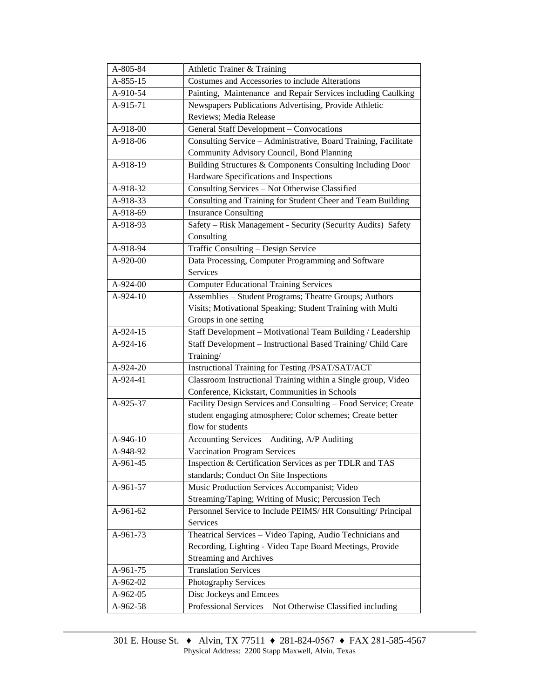| A-805-84   | Athletic Trainer & Training                                     |  |  |
|------------|-----------------------------------------------------------------|--|--|
| A-855-15   | Costumes and Accessories to include Alterations                 |  |  |
| A-910-54   | Painting, Maintenance and Repair Services including Caulking    |  |  |
| A-915-71   | Newspapers Publications Advertising, Provide Athletic           |  |  |
|            | Reviews; Media Release                                          |  |  |
| A-918-00   | General Staff Development - Convocations                        |  |  |
| A-918-06   | Consulting Service - Administrative, Board Training, Facilitate |  |  |
|            | Community Advisory Council, Bond Planning                       |  |  |
| A-918-19   | Building Structures & Components Consulting Including Door      |  |  |
|            | Hardware Specifications and Inspections                         |  |  |
| A-918-32   | Consulting Services - Not Otherwise Classified                  |  |  |
| A-918-33   | Consulting and Training for Student Cheer and Team Building     |  |  |
| A-918-69   | <b>Insurance Consulting</b>                                     |  |  |
| A-918-93   |                                                                 |  |  |
|            | Safety - Risk Management - Security (Security Audits) Safety    |  |  |
| A-918-94   | Consulting                                                      |  |  |
|            | Traffic Consulting - Design Service                             |  |  |
| A-920-00   | Data Processing, Computer Programming and Software              |  |  |
|            | Services                                                        |  |  |
| $A-924-00$ | <b>Computer Educational Training Services</b>                   |  |  |
| A-924-10   | Assemblies - Student Programs; Theatre Groups; Authors          |  |  |
|            | Visits; Motivational Speaking; Student Training with Multi      |  |  |
|            | Groups in one setting                                           |  |  |
| A-924-15   | Staff Development - Motivational Team Building / Leadership     |  |  |
| A-924-16   | Staff Development - Instructional Based Training/ Child Care    |  |  |
| A-924-20   | Training/                                                       |  |  |
|            | Instructional Training for Testing /PSAT/SAT/ACT                |  |  |
| A-924-41   | Classroom Instructional Training within a Single group, Video   |  |  |
|            | Conference, Kickstart, Communities in Schools                   |  |  |
| A-925-37   | Facility Design Services and Consulting - Food Service; Create  |  |  |
|            | student engaging atmosphere; Color schemes; Create better       |  |  |
|            | flow for students                                               |  |  |
| A-946-10   | Accounting Services - Auditing, A/P Auditing                    |  |  |
| A-948-92   | <b>Vaccination Program Services</b>                             |  |  |
| A-961-45   | Inspection & Certification Services as per TDLR and TAS         |  |  |
|            | standards; Conduct On Site Inspections                          |  |  |
| A-961-57   | Music Production Services Accompanist; Video                    |  |  |
|            | Streaming/Taping; Writing of Music; Percussion Tech             |  |  |
| A-961-62   | Personnel Service to Include PEIMS/HR Consulting/ Principal     |  |  |
|            | Services                                                        |  |  |
| A-961-73   | Theatrical Services - Video Taping, Audio Technicians and       |  |  |
|            | Recording, Lighting - Video Tape Board Meetings, Provide        |  |  |
|            | <b>Streaming and Archives</b>                                   |  |  |
| A-961-75   | <b>Translation Services</b>                                     |  |  |
| A-962-02   | Photography Services                                            |  |  |
| A-962-05   | Disc Jockeys and Emcees                                         |  |  |
| A-962-58   | Professional Services - Not Otherwise Classified including      |  |  |